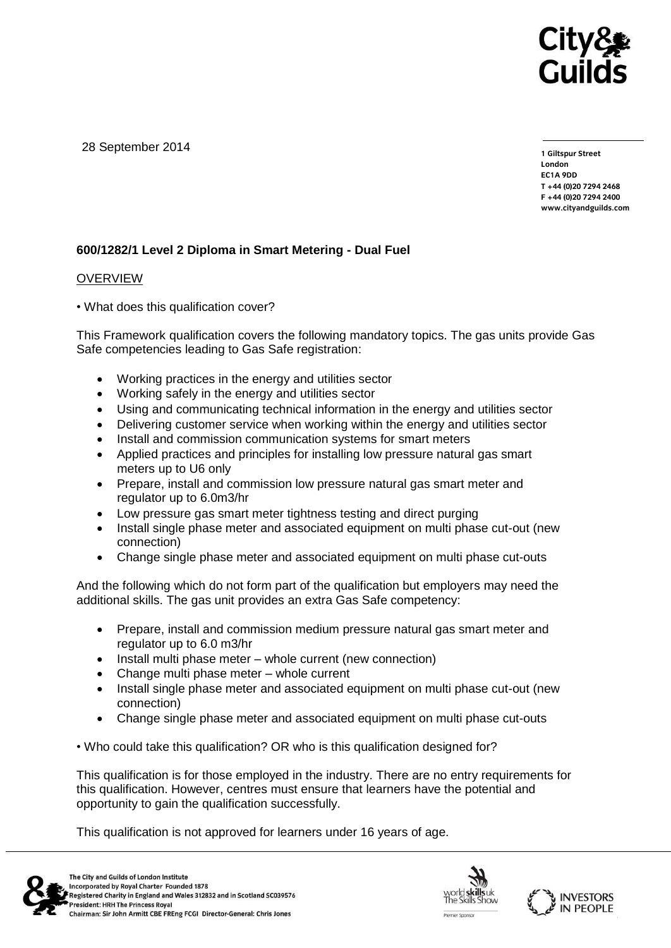

28 September 2014

**1 Giltspur Street EC1A 9DD** T +44 (0) 20 7 294 2468 **T +44 (0)20 7294 246[8](http://www.cityandguilds.com/) F +44 (0)20 7294 2400 [www.cityandguilds.com](http://www.cityandguilds.com/)**

## **600/1282/1 Level 2 Diploma in Smart Metering - Dual Fuel**

### **OVERVIEW**

• What does this qualification cover?

This Framework qualification covers the following mandatory topics. The gas units provide Gas Safe competencies leading to Gas Safe registration:

- Working practices in the energy and utilities sector
- Working safely in the energy and utilities sector
- Using and communicating technical information in the energy and utilities sector
- Delivering customer service when working within the energy and utilities sector
- Install and commission communication systems for smart meters
- Applied practices and principles for installing low pressure natural gas smart meters up to U6 only
- Prepare, install and commission low pressure natural gas smart meter and regulator up to 6.0m3/hr
- Low pressure gas smart meter tightness testing and direct purging
- Install single phase meter and associated equipment on multi phase cut-out (new connection)
- Change single phase meter and associated equipment on multi phase cut-outs

And the following which do not form part of the qualification but employers may need the additional skills. The gas unit provides an extra Gas Safe competency:

- Prepare, install and commission medium pressure natural gas smart meter and regulator up to 6.0 m3/hr
- Install multi phase meter whole current (new connection)
- Change multi phase meter whole current
- Install single phase meter and associated equipment on multi phase cut-out (new connection)
- Change single phase meter and associated equipment on multi phase cut-outs

• Who could take this qualification? OR who is this qualification designed for?

This qualification is for those employed in the industry. There are no entry requirements for this qualification. However, centres must ensure that learners have the potential and opportunity to gain the qualification successfully.

This qualification is not approved for learners under 16 years of age.